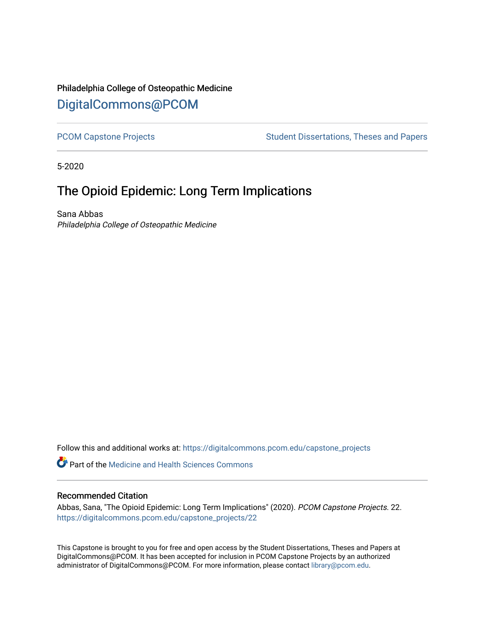## Philadelphia College of Osteopathic Medicine [DigitalCommons@PCOM](https://digitalcommons.pcom.edu/)

[PCOM Capstone Projects](https://digitalcommons.pcom.edu/capstone_projects) **Student Dissertations, Theses and Papers** Student Dissertations, Theses and Papers

5-2020

# The Opioid Epidemic: Long Term Implications

Sana Abbas Philadelphia College of Osteopathic Medicine

Follow this and additional works at: [https://digitalcommons.pcom.edu/capstone\\_projects](https://digitalcommons.pcom.edu/capstone_projects?utm_source=digitalcommons.pcom.edu%2Fcapstone_projects%2F22&utm_medium=PDF&utm_campaign=PDFCoverPages)

Part of the [Medicine and Health Sciences Commons](http://network.bepress.com/hgg/discipline/648?utm_source=digitalcommons.pcom.edu%2Fcapstone_projects%2F22&utm_medium=PDF&utm_campaign=PDFCoverPages) 

## Recommended Citation

Abbas, Sana, "The Opioid Epidemic: Long Term Implications" (2020). PCOM Capstone Projects. 22. [https://digitalcommons.pcom.edu/capstone\\_projects/22](https://digitalcommons.pcom.edu/capstone_projects/22?utm_source=digitalcommons.pcom.edu%2Fcapstone_projects%2F22&utm_medium=PDF&utm_campaign=PDFCoverPages) 

This Capstone is brought to you for free and open access by the Student Dissertations, Theses and Papers at DigitalCommons@PCOM. It has been accepted for inclusion in PCOM Capstone Projects by an authorized administrator of DigitalCommons@PCOM. For more information, please contact [library@pcom.edu.](mailto:library@pcom.edu)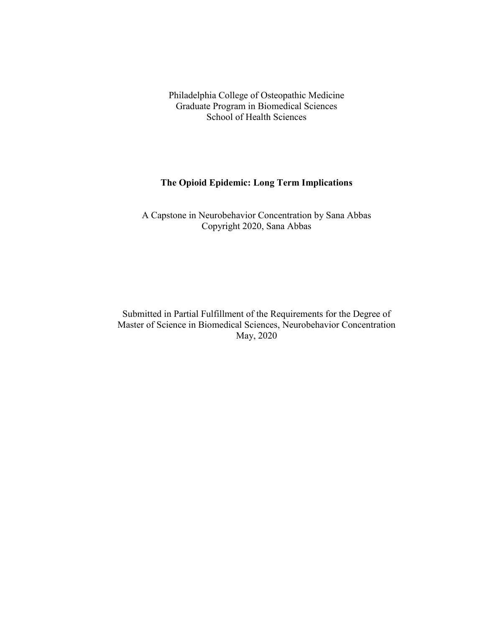Philadelphia College of Osteopathic Medicine Graduate Program in Biomedical Sciences School of Health Sciences

## **The Opioid Epidemic: Long Term Implications**

A Capstone in Neurobehavior Concentration by Sana Abbas Copyright 2020, Sana Abbas

Submitted in Partial Fulfillment of the Requirements for the Degree of Master of Science in Biomedical Sciences, Neurobehavior Concentration May, 2020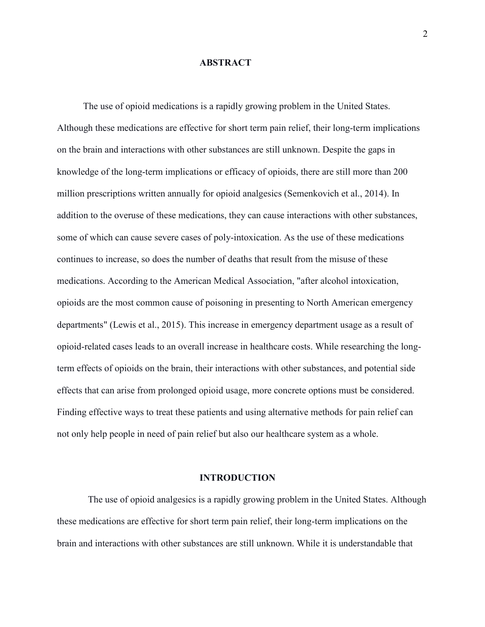## **ABSTRACT**

The use of opioid medications is a rapidly growing problem in the United States. Although these medications are effective for short term pain relief, their long-term implications on the brain and interactions with other substances are still unknown. Despite the gaps in knowledge of the long-term implications or efficacy of opioids, there are still more than 200 million prescriptions written annually for opioid analgesics (Semenkovich et al., 2014). In addition to the overuse of these medications, they can cause interactions with other substances, some of which can cause severe cases of poly-intoxication. As the use of these medications continues to increase, so does the number of deaths that result from the misuse of these medications. According to the American Medical Association, "after alcohol intoxication, opioids are the most common cause of poisoning in presenting to North American emergency departments" (Lewis et al., 2015). This increase in emergency department usage as a result of opioid-related cases leads to an overall increase in healthcare costs. While researching the longterm effects of opioids on the brain, their interactions with other substances, and potential side effects that can arise from prolonged opioid usage, more concrete options must be considered. Finding effective ways to treat these patients and using alternative methods for pain relief can not only help people in need of pain relief but also our healthcare system as a whole.

#### **INTRODUCTION**

The use of opioid analgesics is a rapidly growing problem in the United States. Although these medications are effective for short term pain relief, their long-term implications on the brain and interactions with other substances are still unknown. While it is understandable that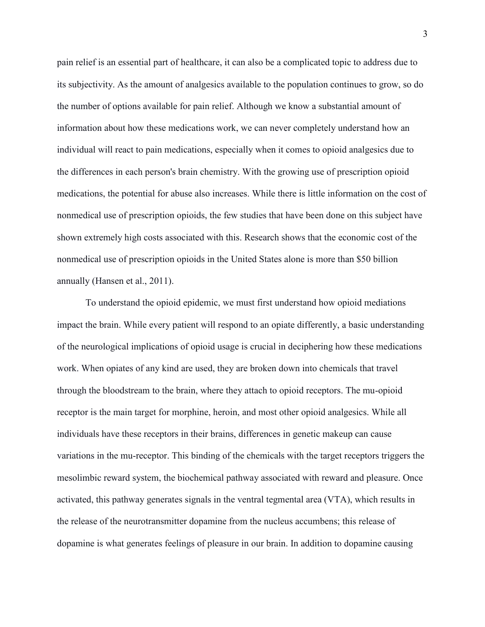pain relief is an essential part of healthcare, it can also be a complicated topic to address due to its subjectivity. As the amount of analgesics available to the population continues to grow, so do the number of options available for pain relief. Although we know a substantial amount of information about how these medications work, we can never completely understand how an individual will react to pain medications, especially when it comes to opioid analgesics due to the differences in each person's brain chemistry. With the growing use of prescription opioid medications, the potential for abuse also increases. While there is little information on the cost of nonmedical use of prescription opioids, the few studies that have been done on this subject have shown extremely high costs associated with this. Research shows that the economic cost of the nonmedical use of prescription opioids in the United States alone is more than \$50 billion annually (Hansen et al., 2011).

 To understand the opioid epidemic, we must first understand how opioid mediations impact the brain. While every patient will respond to an opiate differently, a basic understanding of the neurological implications of opioid usage is crucial in deciphering how these medications work. When opiates of any kind are used, they are broken down into chemicals that travel through the bloodstream to the brain, where they attach to opioid receptors. The mu-opioid receptor is the main target for morphine, heroin, and most other opioid analgesics. While all individuals have these receptors in their brains, differences in genetic makeup can cause variations in the mu-receptor. This binding of the chemicals with the target receptors triggers the mesolimbic reward system, the biochemical pathway associated with reward and pleasure. Once activated, this pathway generates signals in the ventral tegmental area (VTA), which results in the release of the neurotransmitter dopamine from the nucleus accumbens; this release of dopamine is what generates feelings of pleasure in our brain. In addition to dopamine causing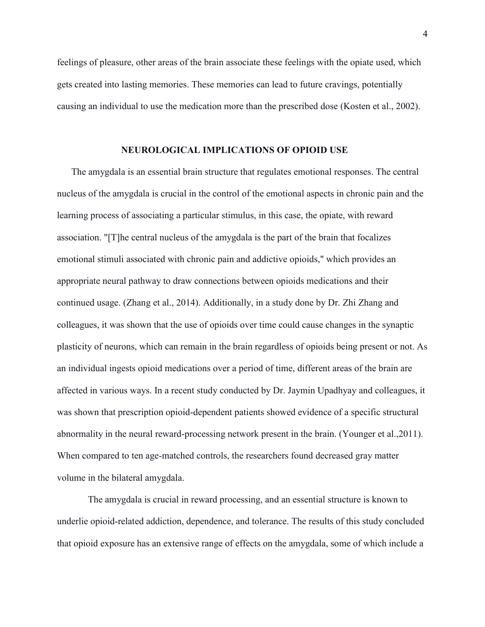feelings of pleasure, other areas of the brain associate these feelings with the opiate used, which gets created into lasting memories. These memories can lead to future cravings, potentially causing an individual to use the medication more than the prescribed dose (Kosten et al., 2002).

## **NEUROLOGICAL IMPLICATIONS OF OPIOID USE**

 The amygdala is an essential brain structure that regulates emotional responses. The central nucleus of the amygdala is crucial in the control of the emotional aspects in chronic pain and the learning process of associating a particular stimulus, in this case, the opiate, with reward association. "[T]he central nucleus of the amygdala is the part of the brain that focalizes emotional stimuli associated with chronic pain and addictive opioids," which provides an appropriate neural pathway to draw connections between opioids medications and their continued usage. (Zhang et al., 2014). Additionally, in a study done by Dr. Zhi Zhang and colleagues, it was shown that the use of opioids over time could cause changes in the synaptic plasticity of neurons, which can remain in the brain regardless of opioids being present or not. As an individual ingests opioid medications over a period of time, different areas of the brain are affected in various ways. In a recent study conducted by Dr. Jaymin Upadhyay and colleagues, it was shown that prescription opioid-dependent patients showed evidence of a specific structural abnormality in the neural reward-processing network present in the brain. (Younger et al.,2011). When compared to ten age-matched controls, the researchers found decreased gray matter volume in the bilateral amygdala.

The amygdala is crucial in reward processing, and an essential structure is known to underlie opioid-related addiction, dependence, and tolerance. The results of this study concluded that opioid exposure has an extensive range of effects on the amygdala, some of which include a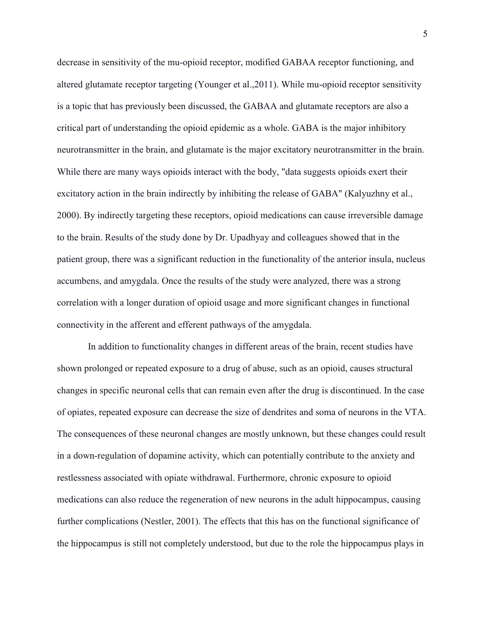decrease in sensitivity of the mu-opioid receptor, modified GABAA receptor functioning, and altered glutamate receptor targeting (Younger et al.,2011). While mu-opioid receptor sensitivity is a topic that has previously been discussed, the GABAA and glutamate receptors are also a critical part of understanding the opioid epidemic as a whole. GABA is the major inhibitory neurotransmitter in the brain, and glutamate is the major excitatory neurotransmitter in the brain. While there are many ways opioids interact with the body, "data suggests opioids exert their excitatory action in the brain indirectly by inhibiting the release of GABA" (Kalyuzhny et al., 2000). By indirectly targeting these receptors, opioid medications can cause irreversible damage to the brain. Results of the study done by Dr. Upadhyay and colleagues showed that in the patient group, there was a significant reduction in the functionality of the anterior insula, nucleus accumbens, and amygdala. Once the results of the study were analyzed, there was a strong correlation with a longer duration of opioid usage and more significant changes in functional connectivity in the afferent and efferent pathways of the amygdala.

In addition to functionality changes in different areas of the brain, recent studies have shown prolonged or repeated exposure to a drug of abuse, such as an opioid, causes structural changes in specific neuronal cells that can remain even after the drug is discontinued. In the case of opiates, repeated exposure can decrease the size of dendrites and soma of neurons in the VTA. The consequences of these neuronal changes are mostly unknown, but these changes could result in a down-regulation of dopamine activity, which can potentially contribute to the anxiety and restlessness associated with opiate withdrawal. Furthermore, chronic exposure to opioid medications can also reduce the regeneration of new neurons in the adult hippocampus, causing further complications (Nestler, 2001). The effects that this has on the functional significance of the hippocampus is still not completely understood, but due to the role the hippocampus plays in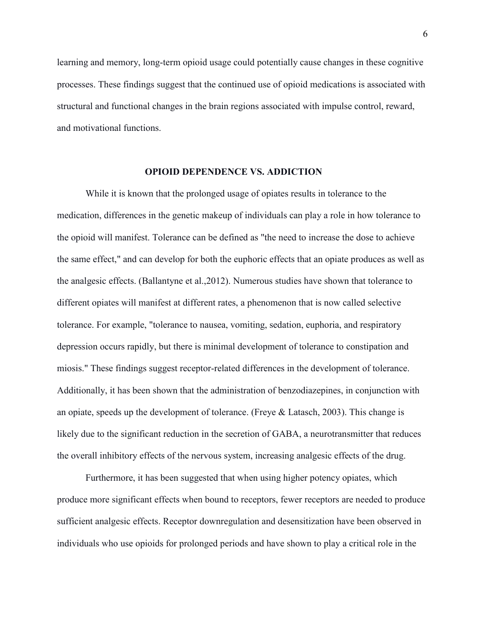learning and memory, long-term opioid usage could potentially cause changes in these cognitive processes. These findings suggest that the continued use of opioid medications is associated with structural and functional changes in the brain regions associated with impulse control, reward, and motivational functions.

## **OPIOID DEPENDENCE VS. ADDICTION**

 While it is known that the prolonged usage of opiates results in tolerance to the medication, differences in the genetic makeup of individuals can play a role in how tolerance to the opioid will manifest. Tolerance can be defined as "the need to increase the dose to achieve the same effect," and can develop for both the euphoric effects that an opiate produces as well as the analgesic effects. (Ballantyne et al.,2012). Numerous studies have shown that tolerance to different opiates will manifest at different rates, a phenomenon that is now called selective tolerance. For example, "tolerance to nausea, vomiting, sedation, euphoria, and respiratory depression occurs rapidly, but there is minimal development of tolerance to constipation and miosis." These findings suggest receptor-related differences in the development of tolerance. Additionally, it has been shown that the administration of benzodiazepines, in conjunction with an opiate, speeds up the development of tolerance. (Freye  $\&$  Latasch, 2003). This change is likely due to the significant reduction in the secretion of GABA, a neurotransmitter that reduces the overall inhibitory effects of the nervous system, increasing analgesic effects of the drug.

 Furthermore, it has been suggested that when using higher potency opiates, which produce more significant effects when bound to receptors, fewer receptors are needed to produce sufficient analgesic effects. Receptor downregulation and desensitization have been observed in individuals who use opioids for prolonged periods and have shown to play a critical role in the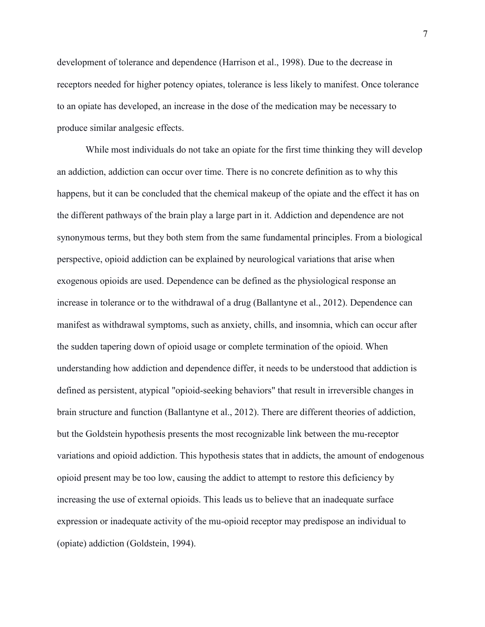development of tolerance and dependence (Harrison et al., 1998). Due to the decrease in receptors needed for higher potency opiates, tolerance is less likely to manifest. Once tolerance to an opiate has developed, an increase in the dose of the medication may be necessary to produce similar analgesic effects.

 While most individuals do not take an opiate for the first time thinking they will develop an addiction, addiction can occur over time. There is no concrete definition as to why this happens, but it can be concluded that the chemical makeup of the opiate and the effect it has on the different pathways of the brain play a large part in it. Addiction and dependence are not synonymous terms, but they both stem from the same fundamental principles. From a biological perspective, opioid addiction can be explained by neurological variations that arise when exogenous opioids are used. Dependence can be defined as the physiological response an increase in tolerance or to the withdrawal of a drug (Ballantyne et al., 2012). Dependence can manifest as withdrawal symptoms, such as anxiety, chills, and insomnia, which can occur after the sudden tapering down of opioid usage or complete termination of the opioid. When understanding how addiction and dependence differ, it needs to be understood that addiction is defined as persistent, atypical "opioid-seeking behaviors" that result in irreversible changes in brain structure and function (Ballantyne et al., 2012). There are different theories of addiction, but the Goldstein hypothesis presents the most recognizable link between the mu-receptor variations and opioid addiction. This hypothesis states that in addicts, the amount of endogenous opioid present may be too low, causing the addict to attempt to restore this deficiency by increasing the use of external opioids. This leads us to believe that an inadequate surface expression or inadequate activity of the mu-opioid receptor may predispose an individual to (opiate) addiction (Goldstein, 1994).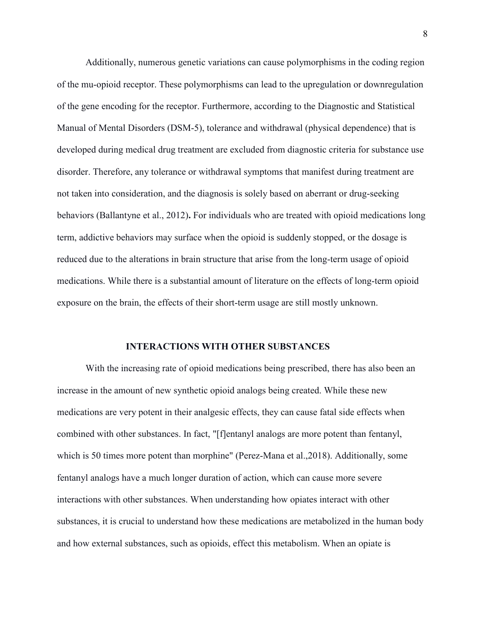Additionally, numerous genetic variations can cause polymorphisms in the coding region of the mu-opioid receptor. These polymorphisms can lead to the upregulation or downregulation of the gene encoding for the receptor. Furthermore, according to the Diagnostic and Statistical Manual of Mental Disorders (DSM-5), tolerance and withdrawal (physical dependence) that is developed during medical drug treatment are excluded from diagnostic criteria for substance use disorder. Therefore, any tolerance or withdrawal symptoms that manifest during treatment are not taken into consideration, and the diagnosis is solely based on aberrant or drug-seeking behaviors (Ballantyne et al., 2012)**.** For individuals who are treated with opioid medications long term, addictive behaviors may surface when the opioid is suddenly stopped, or the dosage is reduced due to the alterations in brain structure that arise from the long-term usage of opioid medications. While there is a substantial amount of literature on the effects of long-term opioid exposure on the brain, the effects of their short-term usage are still mostly unknown.

#### **INTERACTIONS WITH OTHER SUBSTANCES**

With the increasing rate of opioid medications being prescribed, there has also been an increase in the amount of new synthetic opioid analogs being created. While these new medications are very potent in their analgesic effects, they can cause fatal side effects when combined with other substances. In fact, "[f]entanyl analogs are more potent than fentanyl, which is 50 times more potent than morphine" (Perez-Mana et al.,2018). Additionally, some fentanyl analogs have a much longer duration of action, which can cause more severe interactions with other substances. When understanding how opiates interact with other substances, it is crucial to understand how these medications are metabolized in the human body and how external substances, such as opioids, effect this metabolism. When an opiate is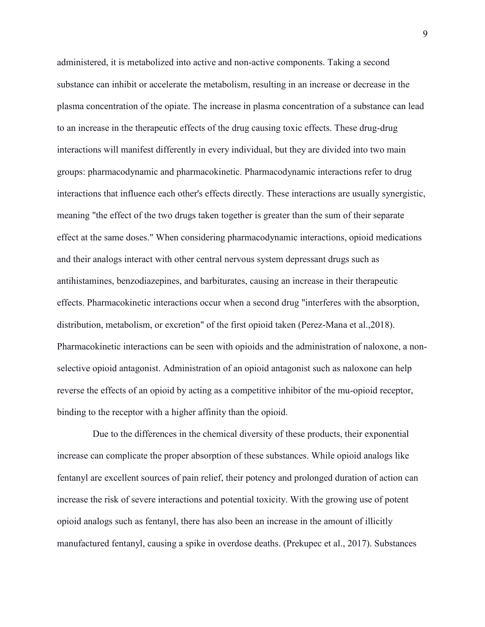administered, it is metabolized into active and non-active components. Taking a second substance can inhibit or accelerate the metabolism, resulting in an increase or decrease in the plasma concentration of the opiate. The increase in plasma concentration of a substance can lead to an increase in the therapeutic effects of the drug causing toxic effects. These drug-drug interactions will manifest differently in every individual, but they are divided into two main groups: pharmacodynamic and pharmacokinetic. Pharmacodynamic interactions refer to drug interactions that influence each other's effects directly. These interactions are usually synergistic, meaning "the effect of the two drugs taken together is greater than the sum of their separate effect at the same doses." When considering pharmacodynamic interactions, opioid medications and their analogs interact with other central nervous system depressant drugs such as antihistamines, benzodiazepines, and barbiturates, causing an increase in their therapeutic effects. Pharmacokinetic interactions occur when a second drug "interferes with the absorption, distribution, metabolism, or excretion" of the first opioid taken (Perez-Mana et al.,2018). Pharmacokinetic interactions can be seen with opioids and the administration of naloxone, a nonselective opioid antagonist. Administration of an opioid antagonist such as naloxone can help reverse the effects of an opioid by acting as a competitive inhibitor of the mu-opioid receptor, binding to the receptor with a higher affinity than the opioid.

 Due to the differences in the chemical diversity of these products, their exponential increase can complicate the proper absorption of these substances. While opioid analogs like fentanyl are excellent sources of pain relief, their potency and prolonged duration of action can increase the risk of severe interactions and potential toxicity. With the growing use of potent opioid analogs such as fentanyl, there has also been an increase in the amount of illicitly manufactured fentanyl, causing a spike in overdose deaths. (Prekupec et al., 2017). Substances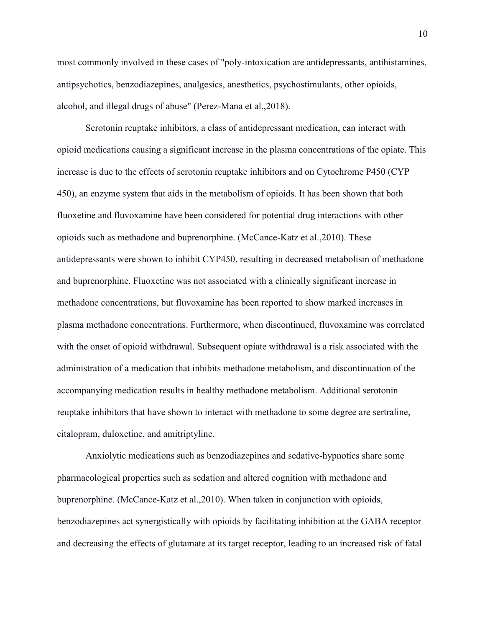most commonly involved in these cases of "poly-intoxication are antidepressants, antihistamines, antipsychotics, benzodiazepines, analgesics, anesthetics, psychostimulants, other opioids, alcohol, and illegal drugs of abuse" (Perez-Mana et al.,2018).

 Serotonin reuptake inhibitors, a class of antidepressant medication, can interact with opioid medications causing a significant increase in the plasma concentrations of the opiate. This increase is due to the effects of serotonin reuptake inhibitors and on Cytochrome P450 (CYP 450), an enzyme system that aids in the metabolism of opioids. It has been shown that both fluoxetine and fluvoxamine have been considered for potential drug interactions with other opioids such as methadone and buprenorphine. (McCance-Katz et al.,2010). These antidepressants were shown to inhibit CYP450, resulting in decreased metabolism of methadone and buprenorphine. Fluoxetine was not associated with a clinically significant increase in methadone concentrations, but fluvoxamine has been reported to show marked increases in plasma methadone concentrations. Furthermore, when discontinued, fluvoxamine was correlated with the onset of opioid withdrawal. Subsequent opiate withdrawal is a risk associated with the administration of a medication that inhibits methadone metabolism, and discontinuation of the accompanying medication results in healthy methadone metabolism. Additional serotonin reuptake inhibitors that have shown to interact with methadone to some degree are sertraline, citalopram, duloxetine, and amitriptyline.

Anxiolytic medications such as benzodiazepines and sedative-hypnotics share some pharmacological properties such as sedation and altered cognition with methadone and buprenorphine. (McCance-Katz et al.,2010). When taken in conjunction with opioids, benzodiazepines act synergistically with opioids by facilitating inhibition at the GABA receptor and decreasing the effects of glutamate at its target receptor, leading to an increased risk of fatal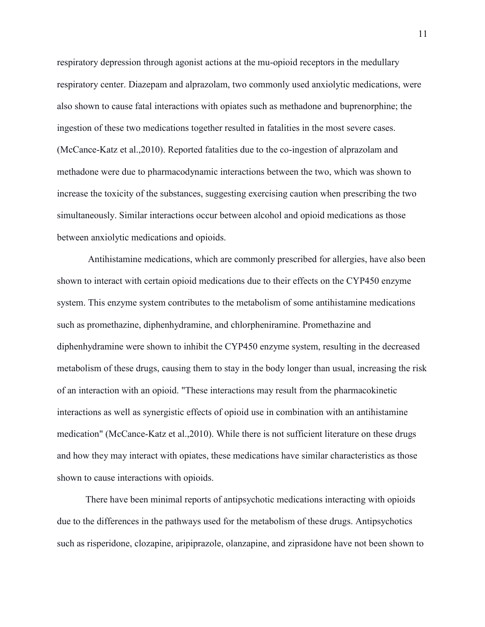respiratory depression through agonist actions at the mu-opioid receptors in the medullary respiratory center. Diazepam and alprazolam, two commonly used anxiolytic medications, were also shown to cause fatal interactions with opiates such as methadone and buprenorphine; the ingestion of these two medications together resulted in fatalities in the most severe cases. (McCance-Katz et al.,2010). Reported fatalities due to the co-ingestion of alprazolam and methadone were due to pharmacodynamic interactions between the two, which was shown to increase the toxicity of the substances, suggesting exercising caution when prescribing the two simultaneously. Similar interactions occur between alcohol and opioid medications as those between anxiolytic medications and opioids.

Antihistamine medications, which are commonly prescribed for allergies, have also been shown to interact with certain opioid medications due to their effects on the CYP450 enzyme system. This enzyme system contributes to the metabolism of some antihistamine medications such as promethazine, diphenhydramine, and chlorpheniramine. Promethazine and diphenhydramine were shown to inhibit the CYP450 enzyme system, resulting in the decreased metabolism of these drugs, causing them to stay in the body longer than usual, increasing the risk of an interaction with an opioid. "These interactions may result from the pharmacokinetic interactions as well as synergistic effects of opioid use in combination with an antihistamine medication" (McCance-Katz et al.,2010). While there is not sufficient literature on these drugs and how they may interact with opiates, these medications have similar characteristics as those shown to cause interactions with opioids.

There have been minimal reports of antipsychotic medications interacting with opioids due to the differences in the pathways used for the metabolism of these drugs. Antipsychotics such as risperidone, clozapine, aripiprazole, olanzapine, and ziprasidone have not been shown to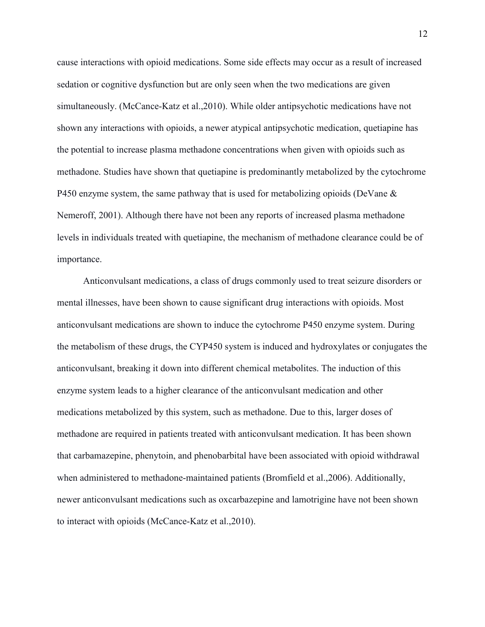cause interactions with opioid medications. Some side effects may occur as a result of increased sedation or cognitive dysfunction but are only seen when the two medications are given simultaneously. (McCance-Katz et al.,2010). While older antipsychotic medications have not shown any interactions with opioids, a newer atypical antipsychotic medication, quetiapine has the potential to increase plasma methadone concentrations when given with opioids such as methadone. Studies have shown that quetiapine is predominantly metabolized by the cytochrome P450 enzyme system, the same pathway that is used for metabolizing opioids (DeVane & Nemeroff, 2001). Although there have not been any reports of increased plasma methadone levels in individuals treated with quetiapine, the mechanism of methadone clearance could be of importance.

Anticonvulsant medications, a class of drugs commonly used to treat seizure disorders or mental illnesses, have been shown to cause significant drug interactions with opioids. Most anticonvulsant medications are shown to induce the cytochrome P450 enzyme system. During the metabolism of these drugs, the CYP450 system is induced and hydroxylates or conjugates the anticonvulsant, breaking it down into different chemical metabolites. The induction of this enzyme system leads to a higher clearance of the anticonvulsant medication and other medications metabolized by this system, such as methadone. Due to this, larger doses of methadone are required in patients treated with anticonvulsant medication. It has been shown that carbamazepine, phenytoin, and phenobarbital have been associated with opioid withdrawal when administered to methadone-maintained patients (Bromfield et al.,2006). Additionally, newer anticonvulsant medications such as oxcarbazepine and lamotrigine have not been shown to interact with opioids (McCance-Katz et al.,2010).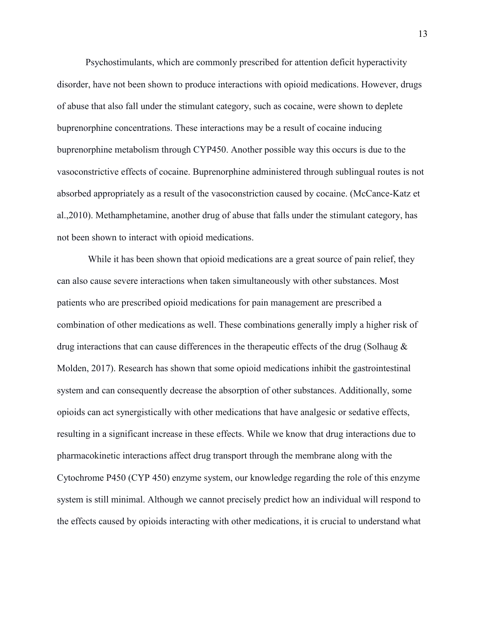Psychostimulants, which are commonly prescribed for attention deficit hyperactivity disorder, have not been shown to produce interactions with opioid medications. However, drugs of abuse that also fall under the stimulant category, such as cocaine, were shown to deplete buprenorphine concentrations. These interactions may be a result of cocaine inducing buprenorphine metabolism through CYP450. Another possible way this occurs is due to the vasoconstrictive effects of cocaine. Buprenorphine administered through sublingual routes is not absorbed appropriately as a result of the vasoconstriction caused by cocaine. (McCance-Katz et al.,2010). Methamphetamine, another drug of abuse that falls under the stimulant category, has not been shown to interact with opioid medications.

While it has been shown that opioid medications are a great source of pain relief, they can also cause severe interactions when taken simultaneously with other substances. Most patients who are prescribed opioid medications for pain management are prescribed a combination of other medications as well. These combinations generally imply a higher risk of drug interactions that can cause differences in the therapeutic effects of the drug (Solhaug  $\&$ Molden, 2017). Research has shown that some opioid medications inhibit the gastrointestinal system and can consequently decrease the absorption of other substances. Additionally, some opioids can act synergistically with other medications that have analgesic or sedative effects, resulting in a significant increase in these effects. While we know that drug interactions due to pharmacokinetic interactions affect drug transport through the membrane along with the Cytochrome P450 (CYP 450) enzyme system, our knowledge regarding the role of this enzyme system is still minimal. Although we cannot precisely predict how an individual will respond to the effects caused by opioids interacting with other medications, it is crucial to understand what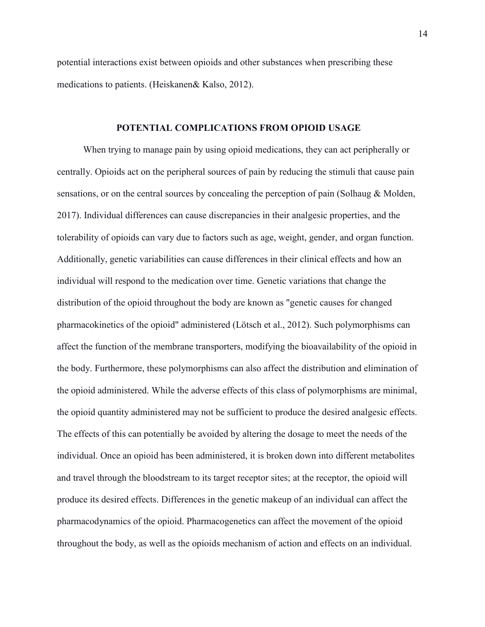potential interactions exist between opioids and other substances when prescribing these medications to patients. (Heiskanen& Kalso, 2012).

#### **POTENTIAL COMPLICATIONS FROM OPIOID USAGE**

When trying to manage pain by using opioid medications, they can act peripherally or centrally. Opioids act on the peripheral sources of pain by reducing the stimuli that cause pain sensations, or on the central sources by concealing the perception of pain (Solhaug & Molden, 2017). Individual differences can cause discrepancies in their analgesic properties, and the tolerability of opioids can vary due to factors such as age, weight, gender, and organ function. Additionally, genetic variabilities can cause differences in their clinical effects and how an individual will respond to the medication over time. Genetic variations that change the distribution of the opioid throughout the body are known as "genetic causes for changed pharmacokinetics of the opioid" administered (Lötsch et al., 2012). Such polymorphisms can affect the function of the membrane transporters, modifying the bioavailability of the opioid in the body. Furthermore, these polymorphisms can also affect the distribution and elimination of the opioid administered. While the adverse effects of this class of polymorphisms are minimal, the opioid quantity administered may not be sufficient to produce the desired analgesic effects. The effects of this can potentially be avoided by altering the dosage to meet the needs of the individual. Once an opioid has been administered, it is broken down into different metabolites and travel through the bloodstream to its target receptor sites; at the receptor, the opioid will produce its desired effects. Differences in the genetic makeup of an individual can affect the pharmacodynamics of the opioid. Pharmacogenetics can affect the movement of the opioid throughout the body, as well as the opioids mechanism of action and effects on an individual.

14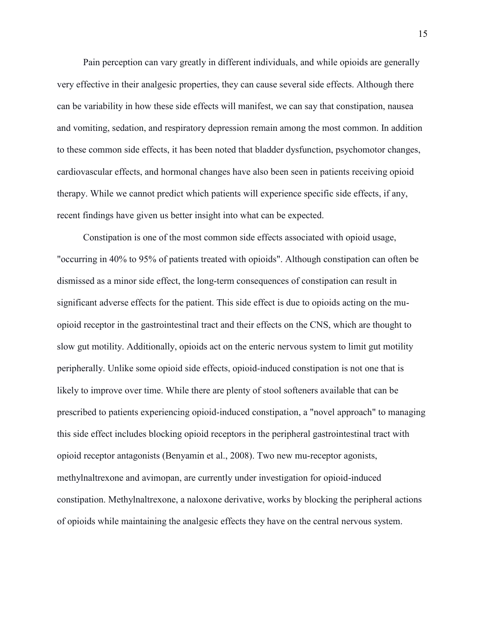Pain perception can vary greatly in different individuals, and while opioids are generally very effective in their analgesic properties, they can cause several side effects. Although there can be variability in how these side effects will manifest, we can say that constipation, nausea and vomiting, sedation, and respiratory depression remain among the most common. In addition to these common side effects, it has been noted that bladder dysfunction, psychomotor changes, cardiovascular effects, and hormonal changes have also been seen in patients receiving opioid therapy. While we cannot predict which patients will experience specific side effects, if any, recent findings have given us better insight into what can be expected.

Constipation is one of the most common side effects associated with opioid usage, "occurring in 40% to 95% of patients treated with opioids". Although constipation can often be dismissed as a minor side effect, the long-term consequences of constipation can result in significant adverse effects for the patient. This side effect is due to opioids acting on the muopioid receptor in the gastrointestinal tract and their effects on the CNS, which are thought to slow gut motility. Additionally, opioids act on the enteric nervous system to limit gut motility peripherally. Unlike some opioid side effects, opioid-induced constipation is not one that is likely to improve over time. While there are plenty of stool softeners available that can be prescribed to patients experiencing opioid-induced constipation, a "novel approach" to managing this side effect includes blocking opioid receptors in the peripheral gastrointestinal tract with opioid receptor antagonists (Benyamin et al., 2008). Two new mu-receptor agonists, methylnaltrexone and avimopan, are currently under investigation for opioid-induced constipation. Methylnaltrexone, a naloxone derivative, works by blocking the peripheral actions of opioids while maintaining the analgesic effects they have on the central nervous system.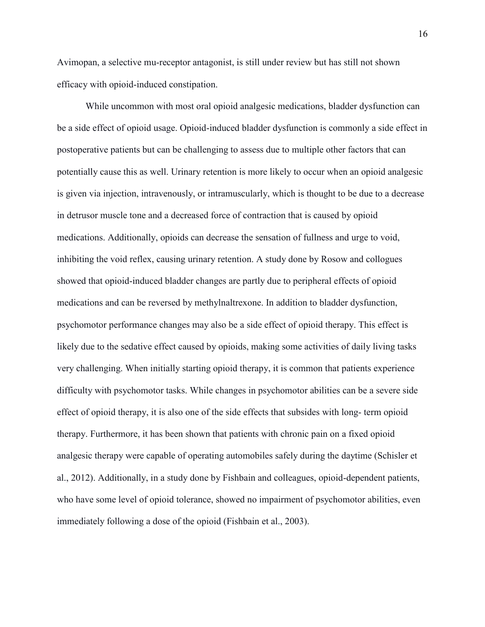Avimopan, a selective mu-receptor antagonist, is still under review but has still not shown efficacy with opioid-induced constipation.

While uncommon with most oral opioid analgesic medications, bladder dysfunction can be a side effect of opioid usage. Opioid-induced bladder dysfunction is commonly a side effect in postoperative patients but can be challenging to assess due to multiple other factors that can potentially cause this as well. Urinary retention is more likely to occur when an opioid analgesic is given via injection, intravenously, or intramuscularly, which is thought to be due to a decrease in detrusor muscle tone and a decreased force of contraction that is caused by opioid medications. Additionally, opioids can decrease the sensation of fullness and urge to void, inhibiting the void reflex, causing urinary retention. A study done by Rosow and collogues showed that opioid-induced bladder changes are partly due to peripheral effects of opioid medications and can be reversed by methylnaltrexone. In addition to bladder dysfunction, psychomotor performance changes may also be a side effect of opioid therapy. This effect is likely due to the sedative effect caused by opioids, making some activities of daily living tasks very challenging. When initially starting opioid therapy, it is common that patients experience difficulty with psychomotor tasks. While changes in psychomotor abilities can be a severe side effect of opioid therapy, it is also one of the side effects that subsides with long- term opioid therapy. Furthermore, it has been shown that patients with chronic pain on a fixed opioid analgesic therapy were capable of operating automobiles safely during the daytime (Schisler et al., 2012). Additionally, in a study done by Fishbain and colleagues, opioid-dependent patients, who have some level of opioid tolerance, showed no impairment of psychomotor abilities, even immediately following a dose of the opioid (Fishbain et al., 2003).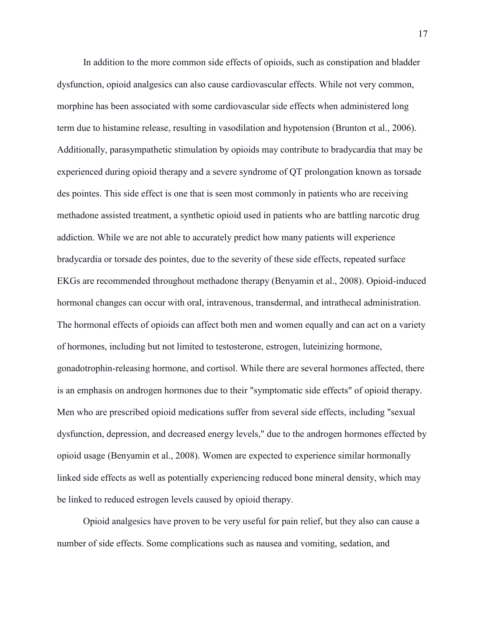In addition to the more common side effects of opioids, such as constipation and bladder dysfunction, opioid analgesics can also cause cardiovascular effects. While not very common, morphine has been associated with some cardiovascular side effects when administered long term due to histamine release, resulting in vasodilation and hypotension (Brunton et al., 2006). Additionally, parasympathetic stimulation by opioids may contribute to bradycardia that may be experienced during opioid therapy and a severe syndrome of QT prolongation known as torsade des pointes. This side effect is one that is seen most commonly in patients who are receiving methadone assisted treatment, a synthetic opioid used in patients who are battling narcotic drug addiction. While we are not able to accurately predict how many patients will experience bradycardia or torsade des pointes, due to the severity of these side effects, repeated surface EKGs are recommended throughout methadone therapy (Benyamin et al., 2008). Opioid-induced hormonal changes can occur with oral, intravenous, transdermal, and intrathecal administration. The hormonal effects of opioids can affect both men and women equally and can act on a variety of hormones, including but not limited to testosterone, estrogen, luteinizing hormone, gonadotrophin-releasing hormone, and cortisol. While there are several hormones affected, there is an emphasis on androgen hormones due to their "symptomatic side effects" of opioid therapy. Men who are prescribed opioid medications suffer from several side effects, including "sexual dysfunction, depression, and decreased energy levels," due to the androgen hormones effected by opioid usage (Benyamin et al., 2008). Women are expected to experience similar hormonally linked side effects as well as potentially experiencing reduced bone mineral density, which may be linked to reduced estrogen levels caused by opioid therapy.

Opioid analgesics have proven to be very useful for pain relief, but they also can cause a number of side effects. Some complications such as nausea and vomiting, sedation, and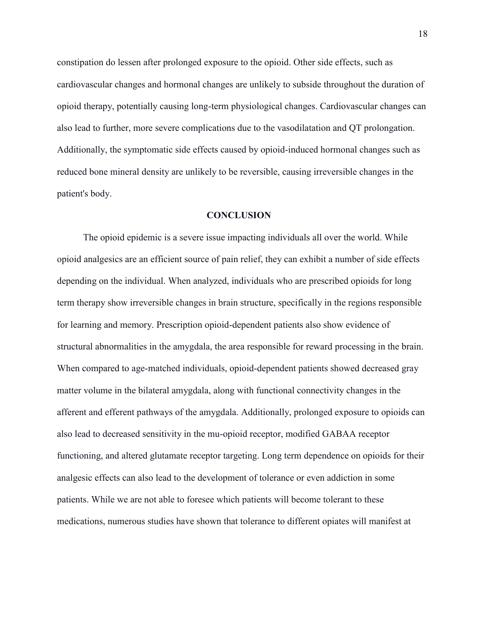constipation do lessen after prolonged exposure to the opioid. Other side effects, such as cardiovascular changes and hormonal changes are unlikely to subside throughout the duration of opioid therapy, potentially causing long-term physiological changes. Cardiovascular changes can also lead to further, more severe complications due to the vasodilatation and QT prolongation. Additionally, the symptomatic side effects caused by opioid-induced hormonal changes such as reduced bone mineral density are unlikely to be reversible, causing irreversible changes in the patient's body.

## **CONCLUSION**

The opioid epidemic is a severe issue impacting individuals all over the world. While opioid analgesics are an efficient source of pain relief, they can exhibit a number of side effects depending on the individual. When analyzed, individuals who are prescribed opioids for long term therapy show irreversible changes in brain structure, specifically in the regions responsible for learning and memory. Prescription opioid-dependent patients also show evidence of structural abnormalities in the amygdala, the area responsible for reward processing in the brain. When compared to age-matched individuals, opioid-dependent patients showed decreased gray matter volume in the bilateral amygdala, along with functional connectivity changes in the afferent and efferent pathways of the amygdala. Additionally, prolonged exposure to opioids can also lead to decreased sensitivity in the mu-opioid receptor, modified GABAA receptor functioning, and altered glutamate receptor targeting. Long term dependence on opioids for their analgesic effects can also lead to the development of tolerance or even addiction in some patients. While we are not able to foresee which patients will become tolerant to these medications, numerous studies have shown that tolerance to different opiates will manifest at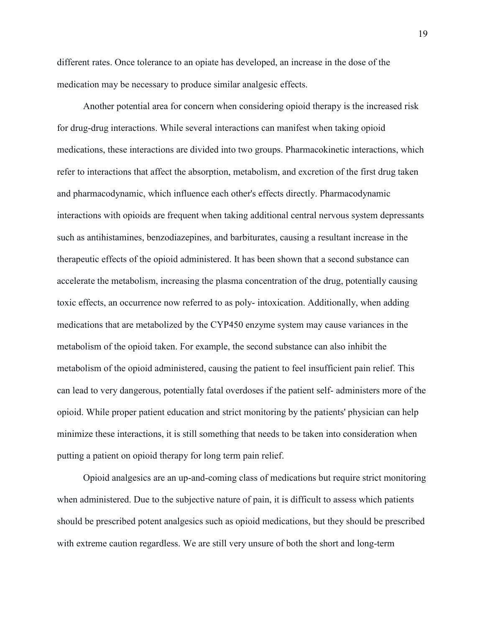different rates. Once tolerance to an opiate has developed, an increase in the dose of the medication may be necessary to produce similar analgesic effects.

Another potential area for concern when considering opioid therapy is the increased risk for drug-drug interactions. While several interactions can manifest when taking opioid medications, these interactions are divided into two groups. Pharmacokinetic interactions, which refer to interactions that affect the absorption, metabolism, and excretion of the first drug taken and pharmacodynamic, which influence each other's effects directly. Pharmacodynamic interactions with opioids are frequent when taking additional central nervous system depressants such as antihistamines, benzodiazepines, and barbiturates, causing a resultant increase in the therapeutic effects of the opioid administered. It has been shown that a second substance can accelerate the metabolism, increasing the plasma concentration of the drug, potentially causing toxic effects, an occurrence now referred to as poly- intoxication. Additionally, when adding medications that are metabolized by the CYP450 enzyme system may cause variances in the metabolism of the opioid taken. For example, the second substance can also inhibit the metabolism of the opioid administered, causing the patient to feel insufficient pain relief. This can lead to very dangerous, potentially fatal overdoses if the patient self- administers more of the opioid. While proper patient education and strict monitoring by the patients' physician can help minimize these interactions, it is still something that needs to be taken into consideration when putting a patient on opioid therapy for long term pain relief.

Opioid analgesics are an up-and-coming class of medications but require strict monitoring when administered. Due to the subjective nature of pain, it is difficult to assess which patients should be prescribed potent analgesics such as opioid medications, but they should be prescribed with extreme caution regardless. We are still very unsure of both the short and long-term

19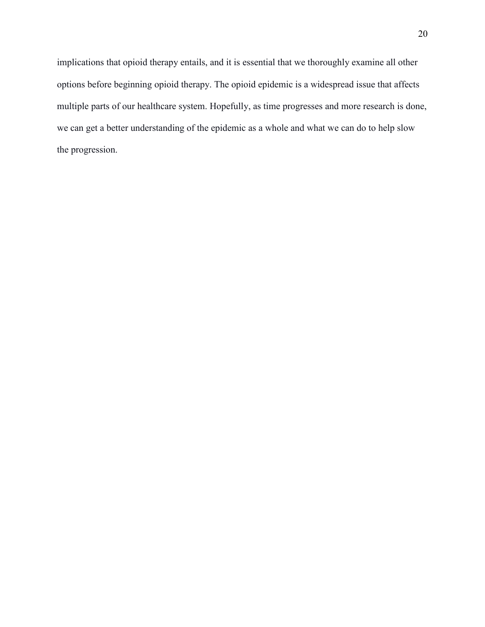implications that opioid therapy entails, and it is essential that we thoroughly examine all other options before beginning opioid therapy. The opioid epidemic is a widespread issue that affects multiple parts of our healthcare system. Hopefully, as time progresses and more research is done, we can get a better understanding of the epidemic as a whole and what we can do to help slow the progression.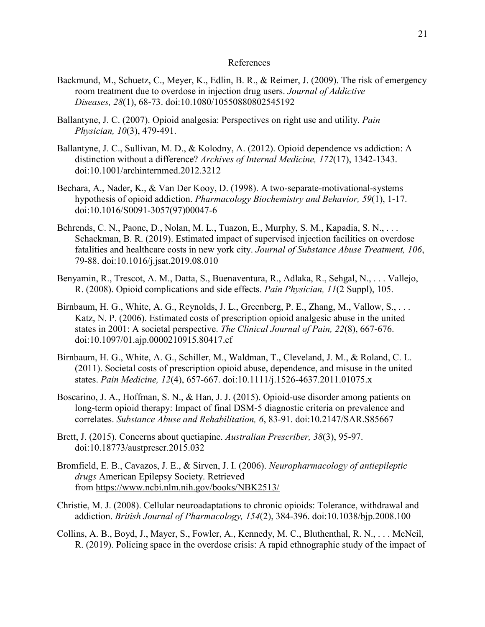## References

- Backmund, M., Schuetz, C., Meyer, K., Edlin, B. R., & Reimer, J. (2009). The risk of emergency room treatment due to overdose in injection drug users. *Journal of Addictive Diseases, 28*(1), 68-73. doi:10.1080/10550880802545192
- Ballantyne, J. C. (2007). Opioid analgesia: Perspectives on right use and utility. *Pain Physician, 10*(3), 479-491.
- Ballantyne, J. C., Sullivan, M. D., & Kolodny, A. (2012). Opioid dependence vs addiction: A distinction without a difference? *Archives of Internal Medicine, 172*(17), 1342-1343. doi:10.1001/archinternmed.2012.3212
- Bechara, A., Nader, K., & Van Der Kooy, D. (1998). A two-separate-motivational-systems hypothesis of opioid addiction. *Pharmacology Biochemistry and Behavior, 59*(1), 1-17. doi:10.1016/S0091-3057(97)00047-6
- Behrends, C. N., Paone, D., Nolan, M. L., Tuazon, E., Murphy, S. M., Kapadia, S. N., . . . Schackman, B. R. (2019). Estimated impact of supervised injection facilities on overdose fatalities and healthcare costs in new york city. *Journal of Substance Abuse Treatment, 106*, 79-88. doi:10.1016/j.jsat.2019.08.010
- Benyamin, R., Trescot, A. M., Datta, S., Buenaventura, R., Adlaka, R., Sehgal, N., . . . Vallejo, R. (2008). Opioid complications and side effects. *Pain Physician, 11*(2 Suppl), 105.
- Birnbaum, H. G., White, A. G., Reynolds, J. L., Greenberg, P. E., Zhang, M., Vallow, S., ... Katz, N. P. (2006). Estimated costs of prescription opioid analgesic abuse in the united states in 2001: A societal perspective. *The Clinical Journal of Pain, 22*(8), 667-676. doi:10.1097/01.ajp.0000210915.80417.cf
- Birnbaum, H. G., White, A. G., Schiller, M., Waldman, T., Cleveland, J. M., & Roland, C. L. (2011). Societal costs of prescription opioid abuse, dependence, and misuse in the united states. *Pain Medicine, 12*(4), 657-667. doi:10.1111/j.1526-4637.2011.01075.x
- Boscarino, J. A., Hoffman, S. N., & Han, J. J. (2015). Opioid-use disorder among patients on long-term opioid therapy: Impact of final DSM-5 diagnostic criteria on prevalence and correlates. *Substance Abuse and Rehabilitation, 6*, 83-91. doi:10.2147/SAR.S85667
- Brett, J. (2015). Concerns about quetiapine. *Australian Prescriber, 38*(3), 95-97. doi:10.18773/austprescr.2015.032
- Bromfield, E. B., Cavazos, J. E., & Sirven, J. I. (2006). *Neuropharmacology of antiepileptic drugs* American Epilepsy Society. Retrieved from <https://www.ncbi.nlm.nih.gov/books/NBK2513/>
- Christie, M. J. (2008). Cellular neuroadaptations to chronic opioids: Tolerance, withdrawal and addiction. *British Journal of Pharmacology, 154*(2), 384-396. doi:10.1038/bjp.2008.100
- Collins, A. B., Boyd, J., Mayer, S., Fowler, A., Kennedy, M. C., Bluthenthal, R. N., . . . McNeil, R. (2019). Policing space in the overdose crisis: A rapid ethnographic study of the impact of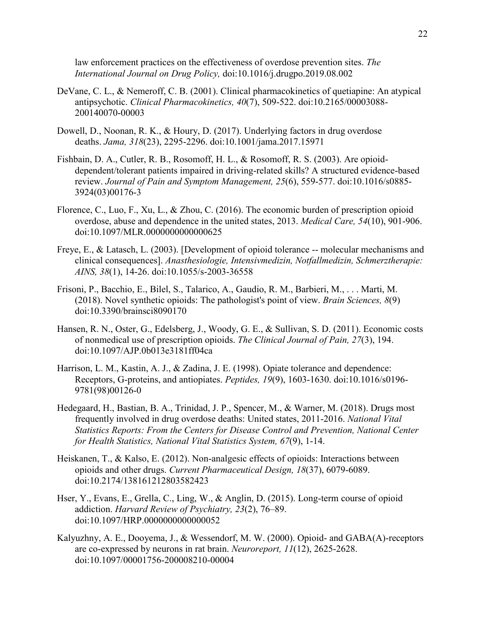law enforcement practices on the effectiveness of overdose prevention sites. *The International Journal on Drug Policy,* doi:10.1016/j.drugpo.2019.08.002

- DeVane, C. L., & Nemeroff, C. B. (2001). Clinical pharmacokinetics of quetiapine: An atypical antipsychotic. *Clinical Pharmacokinetics, 40*(7), 509-522. doi:10.2165/00003088- 200140070-00003
- Dowell, D., Noonan, R. K., & Houry, D. (2017). Underlying factors in drug overdose deaths. *Jama, 318*(23), 2295-2296. doi:10.1001/jama.2017.15971
- Fishbain, D. A., Cutler, R. B., Rosomoff, H. L., & Rosomoff, R. S. (2003). Are opioiddependent/tolerant patients impaired in driving-related skills? A structured evidence-based review. *Journal of Pain and Symptom Management, 25*(6), 559-577. doi:10.1016/s0885- 3924(03)00176-3
- Florence, C., Luo, F., Xu, L., & Zhou, C. (2016). The economic burden of prescription opioid overdose, abuse and dependence in the united states, 2013. *Medical Care, 54*(10), 901-906. doi:10.1097/MLR.0000000000000625
- Freye, E., & Latasch, L. (2003). [Development of opioid tolerance -- molecular mechanisms and clinical consequences]. *Anasthesiologie, Intensivmedizin, Notfallmedizin, Schmerztherapie: AINS, 38*(1), 14-26. doi:10.1055/s-2003-36558
- Frisoni, P., Bacchio, E., Bilel, S., Talarico, A., Gaudio, R. M., Barbieri, M., . . . Marti, M. (2018). Novel synthetic opioids: The pathologist's point of view. *Brain Sciences, 8*(9) doi:10.3390/brainsci8090170
- Hansen, R. N., Oster, G., Edelsberg, J., Woody, G. E., & Sullivan, S. D. (2011). Economic costs of nonmedical use of prescription opioids. *The Clinical Journal of Pain, 27*(3), 194. doi:10.1097/AJP.0b013e3181ff04ca
- Harrison, L. M., Kastin, A. J., & Zadina, J. E. (1998). Opiate tolerance and dependence: Receptors, G-proteins, and antiopiates. *Peptides, 19*(9), 1603-1630. doi:10.1016/s0196- 9781(98)00126-0
- Hedegaard, H., Bastian, B. A., Trinidad, J. P., Spencer, M., & Warner, M. (2018). Drugs most frequently involved in drug overdose deaths: United states, 2011-2016. *National Vital Statistics Reports: From the Centers for Disease Control and Prevention, National Center for Health Statistics, National Vital Statistics System, 67*(9), 1-14.
- Heiskanen, T., & Kalso, E. (2012). Non-analgesic effects of opioids: Interactions between opioids and other drugs. *Current Pharmaceutical Design, 18*(37), 6079-6089. doi:10.2174/138161212803582423
- Hser, Y., Evans, E., Grella, C., Ling, W., & Anglin, D. (2015). Long-term course of opioid addiction. *Harvard Review of Psychiatry, 23*(2), 76–89. doi:10.1097/HRP.0000000000000052
- Kalyuzhny, A. E., Dooyema, J., & Wessendorf, M. W. (2000). Opioid- and GABA(A)-receptors are co-expressed by neurons in rat brain. *Neuroreport, 11*(12), 2625-2628. doi:10.1097/00001756-200008210-00004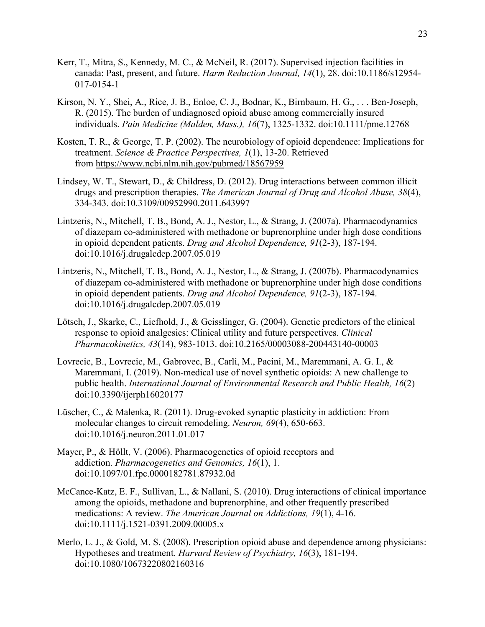- Kerr, T., Mitra, S., Kennedy, M. C., & McNeil, R. (2017). Supervised injection facilities in canada: Past, present, and future. *Harm Reduction Journal, 14*(1), 28. doi:10.1186/s12954- 017-0154-1
- Kirson, N. Y., Shei, A., Rice, J. B., Enloe, C. J., Bodnar, K., Birnbaum, H. G., . . . Ben-Joseph, R. (2015). The burden of undiagnosed opioid abuse among commercially insured individuals. *Pain Medicine (Malden, Mass.), 16*(7), 1325-1332. doi:10.1111/pme.12768
- Kosten, T. R., & George, T. P. (2002). The neurobiology of opioid dependence: Implications for treatment. *Science & Practice Perspectives, 1*(1), 13-20. Retrieved from <https://www.ncbi.nlm.nih.gov/pubmed/18567959>
- Lindsey, W. T., Stewart, D., & Childress, D. (2012). Drug interactions between common illicit drugs and prescription therapies. *The American Journal of Drug and Alcohol Abuse, 38*(4), 334-343. doi:10.3109/00952990.2011.643997
- Lintzeris, N., Mitchell, T. B., Bond, A. J., Nestor, L., & Strang, J. (2007a). Pharmacodynamics of diazepam co-administered with methadone or buprenorphine under high dose conditions in opioid dependent patients. *Drug and Alcohol Dependence, 91*(2-3), 187-194. doi:10.1016/j.drugalcdep.2007.05.019
- Lintzeris, N., Mitchell, T. B., Bond, A. J., Nestor, L., & Strang, J. (2007b). Pharmacodynamics of diazepam co-administered with methadone or buprenorphine under high dose conditions in opioid dependent patients. *Drug and Alcohol Dependence, 91*(2-3), 187-194. doi:10.1016/j.drugalcdep.2007.05.019
- Lötsch, J., Skarke, C., Liefhold, J., & Geisslinger, G. (2004). Genetic predictors of the clinical response to opioid analgesics: Clinical utility and future perspectives. *Clinical Pharmacokinetics, 43*(14), 983-1013. doi:10.2165/00003088-200443140-00003
- Lovrecic, B., Lovrecic, M., Gabrovec, B., Carli, M., Pacini, M., Maremmani, A. G. I., & Maremmani, I. (2019). Non-medical use of novel synthetic opioids: A new challenge to public health. *International Journal of Environmental Research and Public Health, 16*(2) doi:10.3390/ijerph16020177
- Lüscher, C., & Malenka, R. (2011). Drug-evoked synaptic plasticity in addiction: From molecular changes to circuit remodeling. *Neuron, 69*(4), 650-663. doi:10.1016/j.neuron.2011.01.017
- Mayer, P., & Höllt, V. (2006). Pharmacogenetics of opioid receptors and addiction. *Pharmacogenetics and Genomics, 16*(1), 1. doi:10.1097/01.fpc.0000182781.87932.0d
- McCance-Katz, E. F., Sullivan, L., & Nallani, S. (2010). Drug interactions of clinical importance among the opioids, methadone and buprenorphine, and other frequently prescribed medications: A review. *The American Journal on Addictions, 19*(1), 4-16. doi:10.1111/j.1521-0391.2009.00005.x
- Merlo, L. J., & Gold, M. S. (2008). Prescription opioid abuse and dependence among physicians: Hypotheses and treatment. *Harvard Review of Psychiatry, 16*(3), 181-194. doi:10.1080/10673220802160316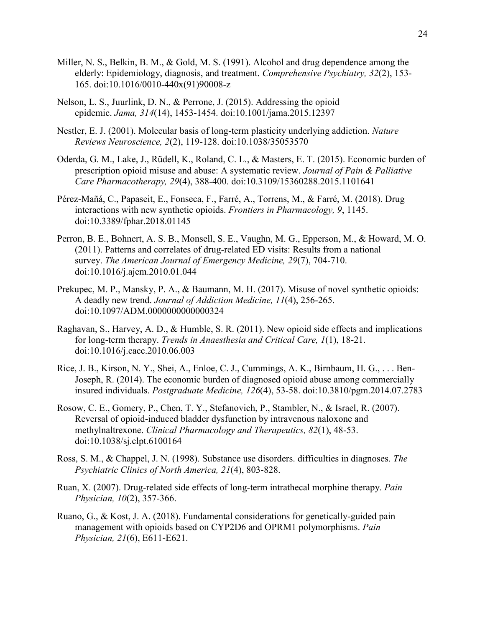- Miller, N. S., Belkin, B. M., & Gold, M. S. (1991). Alcohol and drug dependence among the elderly: Epidemiology, diagnosis, and treatment. *Comprehensive Psychiatry, 32*(2), 153- 165. doi:10.1016/0010-440x(91)90008-z
- Nelson, L. S., Juurlink, D. N., & Perrone, J. (2015). Addressing the opioid epidemic. *Jama, 314*(14), 1453-1454. doi:10.1001/jama.2015.12397
- Nestler, E. J. (2001). Molecular basis of long-term plasticity underlying addiction. *Nature Reviews Neuroscience, 2*(2), 119-128. doi:10.1038/35053570
- Oderda, G. M., Lake, J., Rüdell, K., Roland, C. L., & Masters, E. T. (2015). Economic burden of prescription opioid misuse and abuse: A systematic review. *Journal of Pain & Palliative Care Pharmacotherapy, 29*(4), 388-400. doi:10.3109/15360288.2015.1101641
- Pérez-Mañá, C., Papaseit, E., Fonseca, F., Farré, A., Torrens, M., & Farré, M. (2018). Drug interactions with new synthetic opioids. *Frontiers in Pharmacology, 9*, 1145. doi:10.3389/fphar.2018.01145
- Perron, B. E., Bohnert, A. S. B., Monsell, S. E., Vaughn, M. G., Epperson, M., & Howard, M. O. (2011). Patterns and correlates of drug-related ED visits: Results from a national survey. *The American Journal of Emergency Medicine, 29*(7), 704-710. doi:10.1016/j.ajem.2010.01.044
- Prekupec, M. P., Mansky, P. A., & Baumann, M. H. (2017). Misuse of novel synthetic opioids: A deadly new trend. *Journal of Addiction Medicine, 11*(4), 256-265. doi:10.1097/ADM.0000000000000324
- Raghavan, S., Harvey, A. D., & Humble, S. R. (2011). New opioid side effects and implications for long-term therapy. *Trends in Anaesthesia and Critical Care, 1*(1), 18-21. doi:10.1016/j.cacc.2010.06.003
- Rice, J. B., Kirson, N. Y., Shei, A., Enloe, C. J., Cummings, A. K., Birnbaum, H. G., . . . Ben-Joseph, R. (2014). The economic burden of diagnosed opioid abuse among commercially insured individuals. *Postgraduate Medicine, 126*(4), 53-58. doi:10.3810/pgm.2014.07.2783
- Rosow, C. E., Gomery, P., Chen, T. Y., Stefanovich, P., Stambler, N., & Israel, R. (2007). Reversal of opioid-induced bladder dysfunction by intravenous naloxone and methylnaltrexone. *Clinical Pharmacology and Therapeutics, 82*(1), 48-53. doi:10.1038/sj.clpt.6100164
- Ross, S. M., & Chappel, J. N. (1998). Substance use disorders. difficulties in diagnoses. *The Psychiatric Clinics of North America, 21*(4), 803-828.
- Ruan, X. (2007). Drug-related side effects of long-term intrathecal morphine therapy. *Pain Physician, 10*(2), 357-366.
- Ruano, G., & Kost, J. A. (2018). Fundamental considerations for genetically-guided pain management with opioids based on CYP2D6 and OPRM1 polymorphisms. *Pain Physician, 21*(6), E611-E621.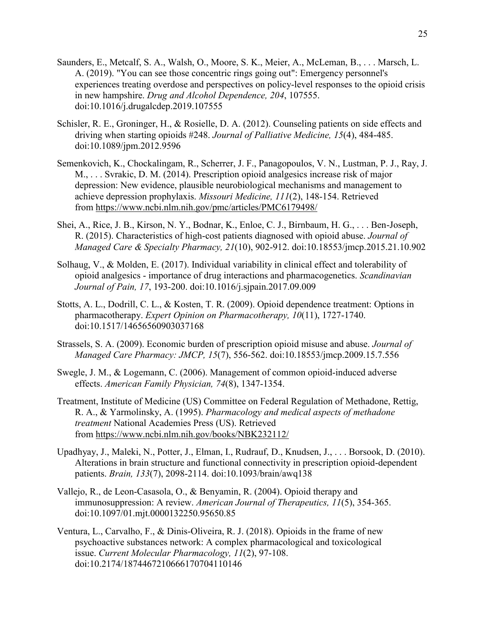- Saunders, E., Metcalf, S. A., Walsh, O., Moore, S. K., Meier, A., McLeman, B., . . . Marsch, L. A. (2019). "You can see those concentric rings going out": Emergency personnel's experiences treating overdose and perspectives on policy-level responses to the opioid crisis in new hampshire. *Drug and Alcohol Dependence, 204*, 107555. doi:10.1016/j.drugalcdep.2019.107555
- Schisler, R. E., Groninger, H., & Rosielle, D. A. (2012). Counseling patients on side effects and driving when starting opioids #248. *Journal of Palliative Medicine, 15*(4), 484-485. doi:10.1089/jpm.2012.9596
- Semenkovich, K., Chockalingam, R., Scherrer, J. F., Panagopoulos, V. N., Lustman, P. J., Ray, J. M., . . . Svrakic, D. M. (2014). Prescription opioid analgesics increase risk of major depression: New evidence, plausible neurobiological mechanisms and management to achieve depression prophylaxis. *Missouri Medicine, 111*(2), 148-154. Retrieved from <https://www.ncbi.nlm.nih.gov/pmc/articles/PMC6179498/>
- Shei, A., Rice, J. B., Kirson, N. Y., Bodnar, K., Enloe, C. J., Birnbaum, H. G., . . . Ben-Joseph, R. (2015). Characteristics of high-cost patients diagnosed with opioid abuse. *Journal of Managed Care & Specialty Pharmacy, 21*(10), 902-912. doi:10.18553/jmcp.2015.21.10.902
- Solhaug, V., & Molden, E. (2017). Individual variability in clinical effect and tolerability of opioid analgesics - importance of drug interactions and pharmacogenetics. *Scandinavian Journal of Pain, 17*, 193-200. doi:10.1016/j.sjpain.2017.09.009
- Stotts, A. L., Dodrill, C. L., & Kosten, T. R. (2009). Opioid dependence treatment: Options in pharmacotherapy. *Expert Opinion on Pharmacotherapy, 10*(11), 1727-1740. doi:10.1517/14656560903037168
- Strassels, S. A. (2009). Economic burden of prescription opioid misuse and abuse. *Journal of Managed Care Pharmacy: JMCP, 15*(7), 556-562. doi:10.18553/jmcp.2009.15.7.556
- Swegle, J. M., & Logemann, C. (2006). Management of common opioid-induced adverse effects. *American Family Physician, 74*(8), 1347-1354.
- Treatment, Institute of Medicine (US) Committee on Federal Regulation of Methadone, Rettig, R. A., & Yarmolinsky, A. (1995). *Pharmacology and medical aspects of methadone treatment* National Academies Press (US). Retrieved from <https://www.ncbi.nlm.nih.gov/books/NBK232112/>
- Upadhyay, J., Maleki, N., Potter, J., Elman, I., Rudrauf, D., Knudsen, J., . . . Borsook, D. (2010). Alterations in brain structure and functional connectivity in prescription opioid-dependent patients. *Brain, 133*(7), 2098-2114. doi:10.1093/brain/awq138
- Vallejo, R., de Leon-Casasola, O., & Benyamin, R. (2004). Opioid therapy and immunosuppression: A review. *American Journal of Therapeutics, 11*(5), 354-365. doi:10.1097/01.mjt.0000132250.95650.85
- Ventura, L., Carvalho, F., & Dinis-Oliveira, R. J. (2018). Opioids in the frame of new psychoactive substances network: A complex pharmacological and toxicological issue. *Current Molecular Pharmacology, 11*(2), 97-108. doi:10.2174/1874467210666170704110146